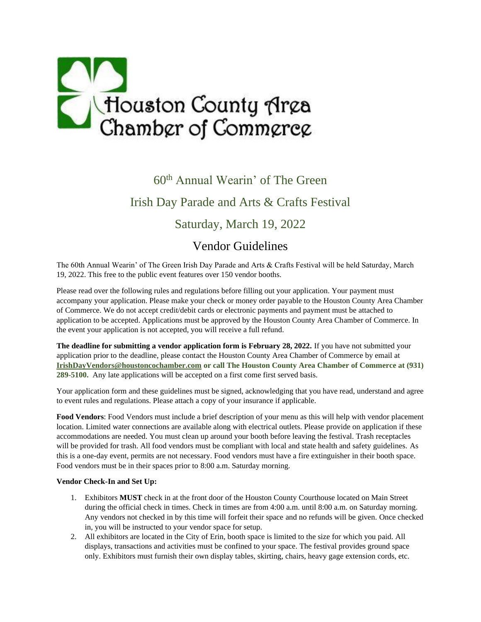

## 60th Annual Wearin' of The Green Irish Day Parade and Arts & Crafts Festival Saturday, March 19, 2022

## Vendor Guidelines

The 60th Annual Wearin' of The Green Irish Day Parade and Arts & Crafts Festival will be held Saturday, March 19, 2022. This free to the public event features over 150 vendor booths.

Please read over the following rules and regulations before filling out your application. Your payment must accompany your application. Please make your check or money order payable to the Houston County Area Chamber of Commerce. We do not accept credit/debit cards or electronic payments and payment must be attached to application to be accepted. Applications must be approved by the Houston County Area Chamber of Commerce. In the event your application is not accepted, you will receive a full refund.

**The deadline for submitting a vendor application form is February 28, 2022.** If you have not submitted your application prior to the deadline, please contact the Houston County Area Chamber of Commerce by email at **[IrishDayVendors@houstoncochamber.com](mailto:IrishDayVendors@houstoncochamber.com) or call The Houston County Area Chamber of Commerce at (931) 289-5100.** Any late applications will be accepted on a first come first served basis.

Your application form and these guidelines must be signed, acknowledging that you have read, understand and agree to event rules and regulations. Please attach a copy of your insurance if applicable.

**Food Vendors**: Food Vendors must include a brief description of your menu as this will help with vendor placement location. Limited water connections are available along with electrical outlets. Please provide on application if these accommodations are needed. You must clean up around your booth before leaving the festival. Trash receptacles will be provided for trash. All food vendors must be compliant with local and state health and safety guidelines. As this is a one-day event, permits are not necessary. Food vendors must have a fire extinguisher in their booth space. Food vendors must be in their spaces prior to 8:00 a.m. Saturday morning.

## **Vendor Check-In and Set Up:**

- 1. Exhibitors **MUST** check in at the front door of the Houston County Courthouse located on Main Street during the official check in times. Check in times are from 4:00 a.m. until 8:00 a.m. on Saturday morning. Any vendors not checked in by this time will forfeit their space and no refunds will be given. Once checked in, you will be instructed to your vendor space for setup.
- 2. All exhibitors are located in the City of Erin, booth space is limited to the size for which you paid. All displays, transactions and activities must be confined to your space. The festival provides ground space only. Exhibitors must furnish their own display tables, skirting, chairs, heavy gage extension cords, etc.